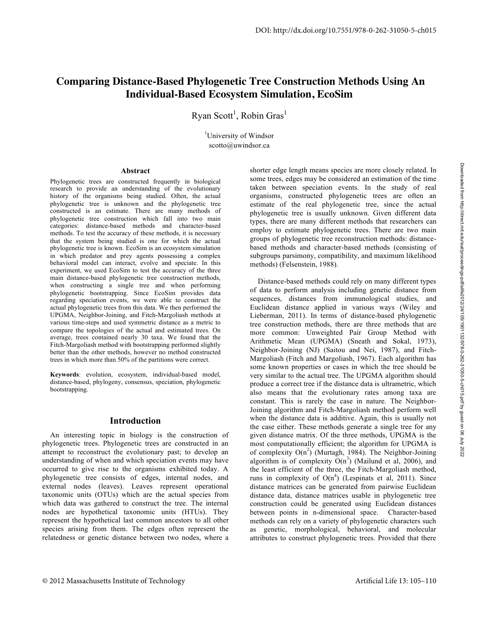# **Comparing Distance-Based Phylogenetic Tree Construction Methods Using An Individual-Based Ecosystem Simulation, EcoSim**

Ryan Scott<sup>1</sup>, Robin Gras<sup>1</sup>

<sup>1</sup>University of Windsor scotto@uwindsor.ca

#### **Abstract**

Phylogenetic trees are constructed frequently in biological research to provide an understanding of the evolutionary history of the organisms being studied. Often, the actual phylogenetic tree is unknown and the phylogenetic tree constructed is an estimate. There are many methods of phylogenetic tree construction which fall into two main categories: distance-based methods and character-based methods. To test the accuracy of these methods, it is necessary that the system being studied is one for which the actual phylogenetic tree is known. EcoSim is an ecosystem simulation in which predator and prey agents possessing a complex behavioral model can interact, evolve and speciate. In this experiment, we used EcoSim to test the accuracy of the three main distance-based phylogenetic tree construction methods, when constructing a single tree and when performing phylogenetic bootstrapping. Since EcoSim provides data regarding speciation events, we were able to construct the actual phylogenetic trees from this data. We then performed the UPGMA, Neighbor-Joining, and Fitch-Margoliash methods at various time-steps and used symmetric distance as a metric to compare the topologies of the actual and estimated trees. On average, trees contained nearly 30 taxa. We found that the Fitch-Margoliash method with bootstrapping performed slightly better than the other methods, however no method constructed trees in which more than 50% of the partitions were correct.

**Keywords**: evolution, ecosystem, individual-based model, distance-based, phylogeny, consensus, speciation, phylogenetic bootstrapping.

#### **Introduction**

An interesting topic in biology is the construction of phylogenetic trees. Phylogenetic trees are constructed in an attempt to reconstruct the evolutionary past; to develop an understanding of when and which speciation events may have occurred to give rise to the organisms exhibited today. A phylogenetic tree consists of edges, internal nodes, and external nodes (leaves). Leaves represent operational taxonomic units (OTUs) which are the actual species from which data was gathered to construct the tree. The internal nodes are hypothetical taxonomic units (HTUs). They represent the hypothetical last common ancestors to all other species arising from them. The edges often represent the relatedness or genetic distance between two nodes, where a

shorter edge length means species are more closely related. In some trees, edges may be considered an estimation of the time taken between speciation events. In the study of real organisms, constructed phylogenetic trees are often an estimate of the real phylogenetic tree, since the actual phylogenetic tree is usually unknown. Given different data types, there are many different methods that researchers can employ to estimate phylogenetic trees. There are two main groups of phylogenetic tree reconstruction methods: distancebased methods and character-based methods (consisting of subgroups parsimony, compatibility, and maximum likelihood methods) (Felsenstein, 1988).

Distance-based methods could rely on many different types of data to perform analysis including genetic distance from sequences, distances from immunological studies, and Euclidean distance applied in various ways (Wiley and Lieberman, 2011). In terms of distance-based phylogenetic tree construction methods, there are three methods that are more common: Unweighted Pair Group Method with Arithmetic Mean (UPGMA) (Sneath and Sokal, 1973), Neighbor-Joining (NJ) (Saitou and Nei, 1987), and Fitch-Margoliash (Fitch and Margoliash, 1967). Each algorithm has some known properties or cases in which the tree should be very similar to the actual tree. The UPGMA algorithm should produce a correct tree if the distance data is ultrametric, which also means that the evolutionary rates among taxa are constant. This is rarely the case in nature. The Neighbor-Joining algorithm and Fitch-Margoliash method perform well when the distance data is additive. Again, this is usually not the case either. These methods generate a single tree for any given distance matrix. Of the three methods, UPGMA is the most computationally efficient; the algorithm for UPGMA is of complexity  $O(n^2)$  (Murtagh, 1984). The Neighbor-Joining algorithm is of complexity  $O(n^3)$  (Mailund et al, 2006), and the least efficient of the three, the Fitch-Margoliash method, runs in complexity of  $O(n^4)$  (Lespinats et al, 2011). Since distance matrices can be generated from pairwise Euclidean distance data, distance matrices usable in phylogenetic tree construction could be generated using Euclidean distances between points in n-dimensional space. Character-based methods can rely on a variety of phylogenetic characters such as genetic, morphological, behavioral, and molecular attributes to construct phylogenetic trees. Provided that there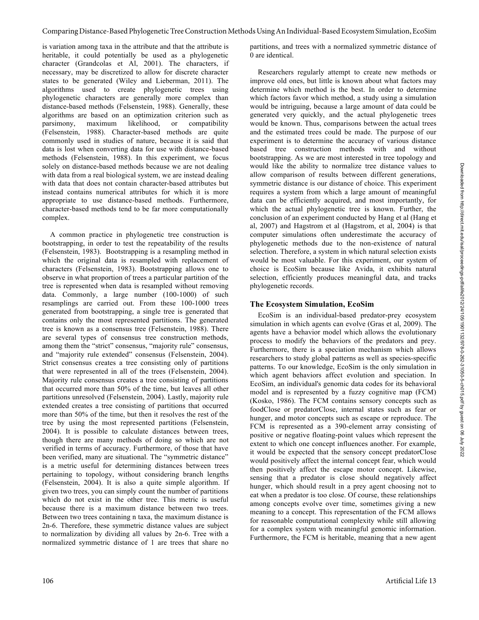is variation among taxa in the attribute and that the attribute is heritable, it could potentially be used as a phylogenetic character (Grandcolas et Al, 2001). The characters, if necessary, may be discretized to allow for discrete character states to be generated (Wiley and Lieberman, 2011). The algorithms used to create phylogenetic trees using phylogenetic characters are generally more complex than distance-based methods (Felsenstein, 1988). Generally, these algorithms are based on an optimization criterion such as parsimony, maximum likelihood, or compatibility (Felsenstein, 1988). Character-based methods are quite commonly used in studies of nature, because it is said that data is lost when converting data for use with distance-based methods (Felsenstein, 1988). In this experiment, we focus solely on distance-based methods because we are not dealing with data from a real biological system, we are instead dealing with data that does not contain character-based attributes but instead contains numerical attributes for which it is more appropriate to use distance-based methods. Furthermore, character-based methods tend to be far more computationally complex.

 A common practice in phylogenetic tree construction is bootstrapping, in order to test the repeatability of the results (Felsenstein, 1983). Bootstrapping is a resampling method in which the original data is resampled with replacement of characters (Felsenstein, 1983). Bootstrapping allows one to observe in what proportion of trees a particular partition of the tree is represented when data is resampled without removing data. Commonly, a large number (100-1000) of such resamplings are carried out. From these 100-1000 trees generated from bootstrapping, a single tree is generated that contains only the most represented partitions. The generated tree is known as a consensus tree (Felsenstein, 1988). There are several types of consensus tree construction methods, among them the "strict" consensus, "majority rule" consensus, and "majority rule extended" consensus (Felsenstein, 2004). Strict consensus creates a tree consisting only of partitions that were represented in all of the trees (Felsenstein, 2004). Majority rule consensus creates a tree consisting of partitions that occurred more than 50% of the time, but leaves all other partitions unresolved (Felsenstein, 2004). Lastly, majority rule extended creates a tree consisting of partitions that occurred more than 50% of the time, but then it resolves the rest of the tree by using the most represented partitions (Felsenstein, 2004). It is possible to calculate distances between trees, though there are many methods of doing so which are not verified in terms of accuracy. Furthermore, of those that have been verified, many are situational. The "symmetric distance" is a metric useful for determining distances between trees pertaining to topology, without considering branch lengths (Felsenstein, 2004). It is also a quite simple algorithm. If given two trees, you can simply count the number of partitions which do not exist in the other tree. This metric is useful because there is a maximum distance between two trees. Between two trees containing n taxa, the maximum distance is 2n-6. Therefore, these symmetric distance values are subject to normalization by dividing all values by 2n-6. Tree with a normalized symmetric distance of 1 are trees that share no partitions, and trees with a normalized symmetric distance of 0 are identical.

Researchers regularly attempt to create new methods or improve old ones, but little is known about what factors may determine which method is the best. In order to determine which factors favor which method, a study using a simulation would be intriguing, because a large amount of data could be generated very quickly, and the actual phylogenetic trees would be known. Thus, comparisons between the actual trees and the estimated trees could be made. The purpose of our experiment is to determine the accuracy of various distance based tree construction methods with and without bootstrapping. As we are most interested in tree topology and would like the ability to normalize tree distance values to allow comparison of results between different generations, symmetric distance is our distance of choice. This experiment requires a system from which a large amount of meaningful data can be efficiently acquired, and most importantly, for which the actual phylogenetic tree is known. Further, the conclusion of an experiment conducted by Hang et al (Hang et al, 2007) and Hagstrom et al (Hagstrom, et al, 2004) is that computer simulations often underestimate the accuracy of phylogenetic methods due to the non-existence of natural selection. Therefore, a system in which natural selection exists would be most valuable. For this experiment, our system of choice is EcoSim because like Avida, it exhibits natural selection, efficiently produces meaningful data, and tracks phylogenetic records.

### **The Ecosystem Simulation, EcoSim**

EcoSim is an individual-based predator-prey ecosystem simulation in which agents can evolve (Gras et al, 2009). The agents have a behavior model which allows the evolutionary process to modify the behaviors of the predators and prey. Furthermore, there is a speciation mechanism which allows researchers to study global patterns as well as species-specific patterns. To our knowledge, EcoSim is the only simulation in which agent behaviors affect evolution and speciation. In EcoSim, an individual's genomic data codes for its behavioral model and is represented by a fuzzy cognitive map (FCM) (Kosko, 1986). The FCM contains sensory concepts such as foodClose or predatorClose, internal states such as fear or hunger, and motor concepts such as escape or reproduce. The FCM is represented as a 390-element array consisting of positive or negative floating-point values which represent the extent to which one concept influences another. For example, it would be expected that the sensory concept predatorClose would positively affect the internal concept fear, which would then positively affect the escape motor concept. Likewise, sensing that a predator is close should negatively affect hunger, which should result in a prey agent choosing not to eat when a predator is too close. Of course, these relationships among concepts evolve over time, sometimes giving a new meaning to a concept. This representation of the FCM allows for reasonable computational complexity while still allowing for a complex system with meaningful genomic information. Furthermore, the FCM is heritable, meaning that a new agent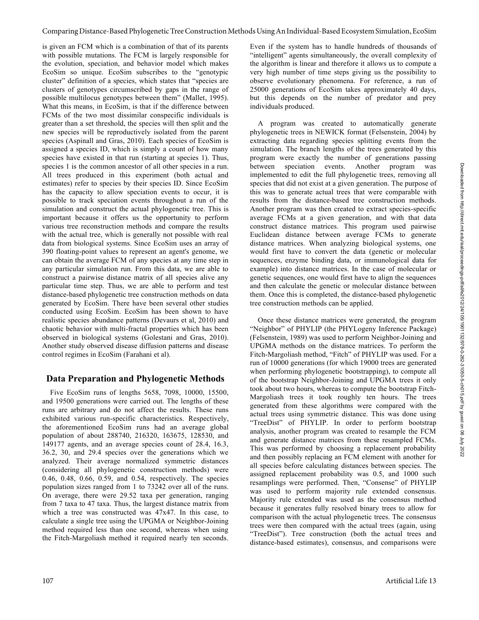is given an FCM which is a combination of that of its parents with possible mutations. The FCM is largely responsible for the evolution, speciation, and behavior model which makes EcoSim so unique. EcoSim subscribes to the "genotypic cluster" definition of a species, which states that "species are clusters of genotypes circumscribed by gaps in the range of possible multilocus genotypes between them" (Mallet, 1995). What this means, in EcoSim, is that if the difference between FCMs of the two most dissimilar conspecific individuals is greater than a set threshold, the species will then split and the new species will be reproductively isolated from the parent species (Aspinall and Gras, 2010). Each species of EcoSim is assigned a species ID, which is simply a count of how many species have existed in that run (starting at species 1). Thus, species 1 is the common ancestor of all other species in a run. All trees produced in this experiment (both actual and estimates) refer to species by their species ID. Since EcoSim has the capacity to allow speciation events to occur, it is possible to track speciation events throughout a run of the simulation and construct the actual phylogenetic tree. This is important because it offers us the opportunity to perform various tree reconstruction methods and compare the results with the actual tree, which is generally not possible with real data from biological systems. Since EcoSim uses an array of 390 floating-point values to represent an agent's genome, we can obtain the average FCM of any species at any time step in any particular simulation run. From this data, we are able to construct a pairwise distance matrix of all species alive any particular time step. Thus, we are able to perform and test distance-based phylogenetic tree construction methods on data generated by EcoSim. There have been several other studies conducted using EcoSim. EcoSim has been shown to have realistic species abundance patterns (Devaurs et al, 2010) and chaotic behavior with multi-fractal properties which has been observed in biological systems (Golestani and Gras, 2010). Another study observed disease diffusion patterns and disease control regimes in EcoSim (Farahani et al).

#### **Data Preparation and Phylogenetic Methods**

Five EcoSim runs of lengths 5658, 7098, 10000, 15500, and 19500 generations were carried out. The lengths of these runs are arbitrary and do not affect the results. These runs exhibited various run-specific characteristics. Respectively, the aforementioned EcoSim runs had an average global population of about 288740, 216320, 163675, 128530, and 149177 agents, and an average species count of 28.4, 16.3, 36.2, 30, and 29.4 species over the generations which we analyzed. Their average normalized symmetric distances (considering all phylogenetic construction methods) were 0.46, 0.48, 0.66, 0.59, and 0.54, respectively. The species population sizes ranged from 1 to 73242 over all of the runs. On average, there were 29.52 taxa per generation, ranging from 7 taxa to 47 taxa. Thus, the largest distance matrix from which a tree was constructed was 47x47. In this case, to calculate a single tree using the UPGMA or Neighbor-Joining method required less than one second, whereas when using the Fitch-Margoliash method it required nearly ten seconds.

Even if the system has to handle hundreds of thousands of "intelligent" agents simultaneously, the overall complexity of the algorithm is linear and therefore it allows us to compute a very high number of time steps giving us the possibility to observe evolutionary phenomena. For reference, a run of 25000 generations of EcoSim takes approximately 40 days, but this depends on the number of predator and prey individuals produced.

A program was created to automatically generate phylogenetic trees in NEWICK format (Felsenstein, 2004) by extracting data regarding species splitting events from the simulation. The branch lengths of the trees generated by this program were exactly the number of generations passing between speciation events. Another program was implemented to edit the full phylogenetic trees, removing all species that did not exist at a given generation. The purpose of this was to generate actual trees that were comparable with results from the distance-based tree construction methods. Another program was then created to extract species-specific average FCMs at a given generation, and with that data construct distance matrices. This program used pairwise Euclidean distance between average FCMs to generate distance matrices. When analyzing biological systems, one would first have to convert the data (genetic or molecular sequences, enzyme binding data, or immunological data for example) into distance matrices. In the case of molecular or genetic sequences, one would first have to align the sequences and then calculate the genetic or molecular distance between them. Once this is completed, the distance-based phylogenetic tree construction methods can be applied.

Once these distance matrices were generated, the program "Neighbor" of PHYLIP (the PHYLogeny Inference Package) (Felsenstein, 1989) was used to perform Neighbor-Joining and UPGMA methods on the distance matrices. To perform the Fitch-Margoliash method, "Fitch" of PHYLIP was used. For a run of 10000 generations (for which 19000 trees are generated when performing phylogenetic bootstrapping), to compute all of the bootstrap Neighbor-Joining and UPGMA trees it only took about two hours, whereas to compute the bootstrap Fitch-Margoliash trees it took roughly ten hours. The trees generated from these algorithms were compared with the actual trees using symmetric distance. This was done using "TreeDist" of PHYLIP. In order to perform bootstrap analysis, another program was created to resample the FCM and generate distance matrices from these resampled FCMs. This was performed by choosing a replacement probability and then possibly replacing an FCM element with another for all species before calculating distances between species. The assigned replacement probability was 0.5, and 1000 such resamplings were performed. Then, "Consense" of PHYLIP was used to perform majority rule extended consensus. Majority rule extended was used as the consensus method because it generates fully resolved binary trees to allow for comparison with the actual phylogenetic trees. The consensus trees were then compared with the actual trees (again, using "TreeDist"). Tree construction (both the actual trees and distance-based estimates), consensus, and comparisons were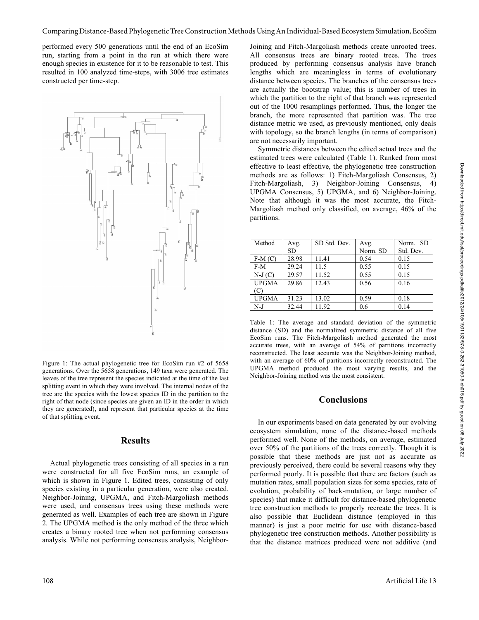performed every 500 generations until the end of an EcoSim run, starting from a point in the run at which there were enough species in existence for it to be reasonable to test. This resulted in 100 analyzed time-steps, with 3006 tree estimates constructed per time-step.



Figure 1: The actual phylogenetic tree for EcoSim run #2 of 5658 generations. Over the 5658 generations, 149 taxa were generated. The leaves of the tree represent the species indicated at the time of the last splitting event in which they were involved. The internal nodes of the tree are the species with the lowest species ID in the partition to the right of that node (since species are given an ID in the order in which they are generated), and represent that particular species at the time of that splitting event.

#### **Results**

Actual phylogenetic trees consisting of all species in a run were constructed for all five EcoSim runs, an example of which is shown in Figure 1. Edited trees, consisting of only species existing in a particular generation, were also created. Neighbor-Joining, UPGMA, and Fitch-Margoliash methods were used, and consensus trees using these methods were generated as well. Examples of each tree are shown in Figure 2. The UPGMA method is the only method of the three which creates a binary rooted tree when not performing consensus analysis. While not performing consensus analysis, NeighborJoining and Fitch-Margoliash methods create unrooted trees. All consensus trees are binary rooted trees. The trees produced by performing consensus analysis have branch lengths which are meaningless in terms of evolutionary distance between species. The branches of the consensus trees are actually the bootstrap value; this is number of trees in which the partition to the right of that branch was represented out of the 1000 resamplings performed. Thus, the longer the branch, the more represented that partition was. The tree distance metric we used, as previously mentioned, only deals with topology, so the branch lengths (in terms of comparison) are not necessarily important.

Symmetric distances between the edited actual trees and the estimated trees were calculated (Table 1). Ranked from most effective to least effective, the phylogenetic tree construction methods are as follows: 1) Fitch-Margoliash Consensus, 2) Fitch-Margoliash, 3) Neighbor-Joining Consensus, 4) UPGMA Consensus, 5) UPGMA, and 6) Neighbor-Joining. Note that although it was the most accurate, the Fitch-Margoliash method only classified, on average, 46% of the partitions.

| Method       | Avg.      | SD Std. Dev. | Avg.     | Norm. SD  |
|--------------|-----------|--------------|----------|-----------|
|              | <b>SD</b> |              | Norm. SD | Std. Dev. |
| $F-M(C)$     | 28.98     | 11.41        | 0.54     | 0.15      |
| F-M          | 29.24     | 11.5         | 0.55     | 0.15      |
| $N-J(C)$     | 29.57     | 11.52        | 0.55     | 0.15      |
| <b>UPGMA</b> | 29.86     | 12.43        | 0.56     | 0.16      |
| (C)          |           |              |          |           |
| <b>UPGMA</b> | 31.23     | 13.02        | 0.59     | 0.18      |
| N-J          | 32.44     | 11.92        | 0.6      | 0.14      |

Table 1: The average and standard deviation of the symmetric distance (SD) and the normalized symmetric distance of all five EcoSim runs. The Fitch-Margoliash method generated the most accurate trees, with an average of 54% of partitions incorrectly reconstructed. The least accurate was the Neighbor-Joining method, with an average of 60% of partitions incorrectly reconstructed. The UPGMA method produced the most varying results, and the Neighbor-Joining method was the most consistent.

# **Conclusions**

In our experiments based on data generated by our evolving ecosystem simulation, none of the distance-based methods performed well. None of the methods, on average, estimated over 50% of the partitions of the trees correctly. Though it is possible that these methods are just not as accurate as previously perceived, there could be several reasons why they performed poorly. It is possible that there are factors (such as mutation rates, small population sizes for some species, rate of evolution, probability of back-mutation, or large number of species) that make it difficult for distance-based phylogenetic tree construction methods to properly recreate the trees. It is also possible that Euclidean distance (employed in this manner) is just a poor metric for use with distance-based phylogenetic tree construction methods. Another possibility is that the distance matrices produced were not additive (and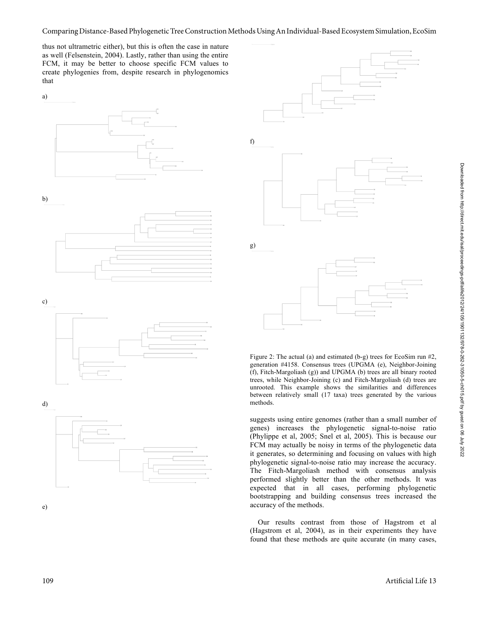Comparing Distance-Based Phylogenetic Tree Construction Methods Using An Individual-Based Ecosystem Simulation, EcoSim

thus not ultrametric either), but this is often the case in nature as well (Felsenstein, 2004). Lastly, rather than using the entire FCM, it may be better to choose specific FCM values to create phylogenies from, despite research in phylogenomics that









c)







e)



Figure 2: The actual (a) and estimated (b-g) trees for EcoSim run #2, generation #4158. Consensus trees (UPGMA (e), Neighbor-Joining (f), Fitch-Margoliash (g)) and UPGMA (b) trees are all binary rooted trees, while Neighbor-Joining (c) and Fitch-Margoliash (d) trees are unrooted. This example shows the similarities and differences between relatively small (17 taxa) trees generated by the various methods.

suggests using entire genomes (rather than a small number of genes) increases the phylogenetic signal-to-noise ratio (Phylippe et al, 2005; Snel et al, 2005). This is because our FCM may actually be noisy in terms of the phylogenetic data it generates, so determining and focusing on values with high phylogenetic signal-to-noise ratio may increase the accuracy. The Fitch-Margoliash method with consensus analysis performed slightly better than the other methods. It was expected that in all cases, performing phylogenetic bootstrapping and building consensus trees increased the accuracy of the methods.

Our results contrast from those of Hagstrom et al (Hagstrom et al, 2004), as in their experiments they have found that these methods are quite accurate (in many cases,